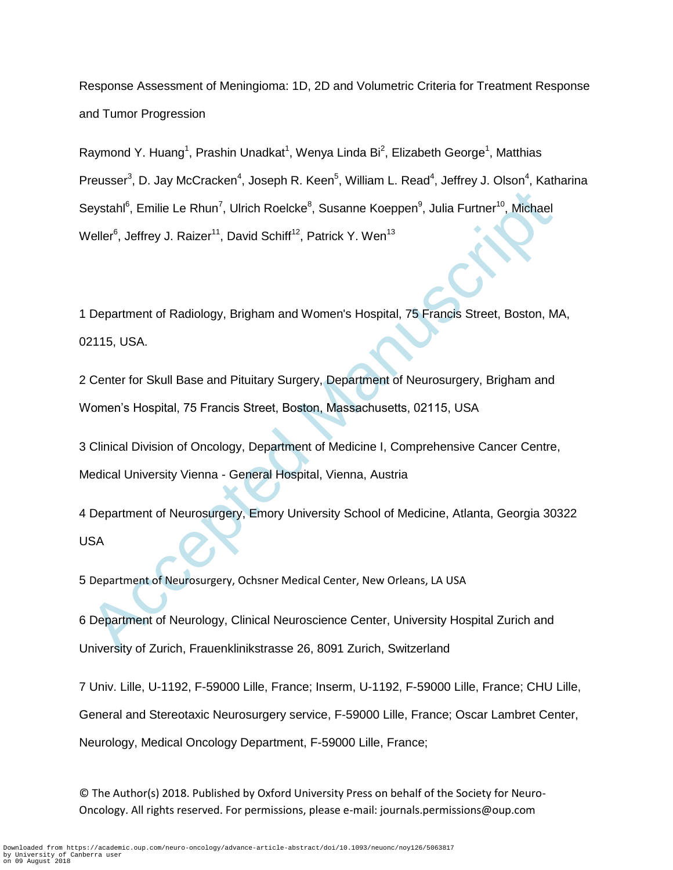Response Assessment of Meningioma: 1D, 2D and Volumetric Criteria for Treatment Response and Tumor Progression

ieystahl<sup>6</sup>, Emilie Le Rhun<sup>7</sup>, Ulrich Roelcke<sup>9</sup>, Susanne Koeppen<sup>9</sup>, Julia Furtner<sup>10</sup>, Michael<br>Veller<sup>6</sup>, Jeffrey J. Raizer<sup>11</sup>, David Schiff<sup>12</sup>, Patrick Y. Wen<sup>13</sup><br>Department of Radiology, Brigham and Women's Hospital Raymond Y. Huang<sup>1</sup>, Prashin Unadkat<sup>1</sup>, Wenya Linda Bi<sup>2</sup>, Elizabeth George<sup>1</sup>, Matthias Preusser<sup>3</sup>, D. Jay McCracken<sup>4</sup>, Joseph R. Keen<sup>5</sup>, William L. Read<sup>4</sup>, Jeffrey J. Olson<sup>4</sup>, Katharina Seystahl<sup>6</sup>, Emilie Le Rhun<sup>7</sup>, Ulrich Roelcke<sup>8</sup>, Susanne Koeppen<sup>9</sup>, Julia Furtner<sup>10</sup>, Michael Weller<sup>6</sup>, Jeffrey J. Raizer<sup>11</sup>, David Schiff<sup>12</sup>, Patrick Y. Wen<sup>13</sup>

1 Department of Radiology, Brigham and Women's Hospital, 75 Francis Street, Boston, MA, 02115, USA.

2 Center for Skull Base and Pituitary Surgery, Department of Neurosurgery, Brigham and Women's Hospital, 75 Francis Street, Boston, Massachusetts, 02115, USA

3 Clinical Division of Oncology, Department of Medicine I, Comprehensive Cancer Centre, Medical University Vienna - General Hospital, Vienna, Austria

4 Department of Neurosurgery, Emory University School of Medicine, Atlanta, Georgia 30322 USA

5 Department of Neurosurgery, Ochsner Medical Center, New Orleans, LA USA

6 Department of Neurology, Clinical Neuroscience Center, University Hospital Zurich and University of Zurich, Frauenklinikstrasse 26, 8091 Zurich, Switzerland

7 Univ. Lille, U-1192, F-59000 Lille, France; Inserm, U-1192, F-59000 Lille, France; CHU Lille, General and Stereotaxic Neurosurgery service, F-59000 Lille, France; Oscar Lambret Center, Neurology, Medical Oncology Department, F-59000 Lille, France;

© The Author(s) 2018. Published by Oxford University Press on behalf of the Society for Neuro-Oncology. All rights reserved. For permissions, please e-mail: journals.permissions@oup.com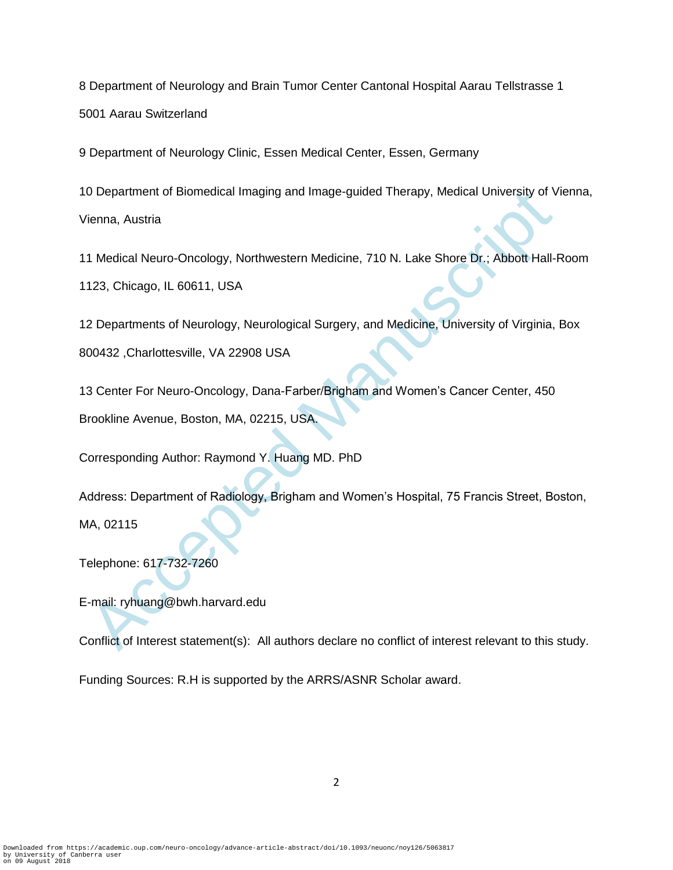8 Department of Neurology and Brain Tumor Center Cantonal Hospital Aarau Tellstrasse 1 5001 Aarau Switzerland

9 Department of Neurology Clinic, Essen Medical Center, Essen, Germany

10 Department of Biomedical Imaging and Image-guided Therapy, Medical University of Vienna, Vienna, Austria

11 Medical Neuro-Oncology, Northwestern Medicine, 710 N. Lake Shore Dr.; Abbott Hall-Room

1123, Chicago, IL 60611, USA

12 Departments of Neurology, Neurological Surgery, and Medicine, University of Virginia, Box 800432 ,Charlottesville, VA 22908 USA

0 Department of Biomedical Imaging and Image-guided Therapy, Medical University of V<br>
Ienna, Austria<br>
1 Medical Neuro-Oncology, Northwestern Medicine, 710 N. Lake Shore Dr.; Abbott Hall-<br>
123, Chicago, IL 60611, USA<br>
2 Dep 13 Center For Neuro-Oncology, Dana-Farber/Brigham and Women's Cancer Center, 450 Brookline Avenue, Boston, MA, 02215, USA.

Corresponding Author: Raymond Y. Huang MD. PhD

Address: Department of Radiology, Brigham and Women's Hospital, 75 Francis Street, Boston,

MA, 02115

Telephone: 617-732-7260

E-mail: ryhuang@bwh.harvard.edu

Conflict of Interest statement(s): All authors declare no conflict of interest relevant to this study.

Funding Sources: R.H is supported by the ARRS/ASNR Scholar award.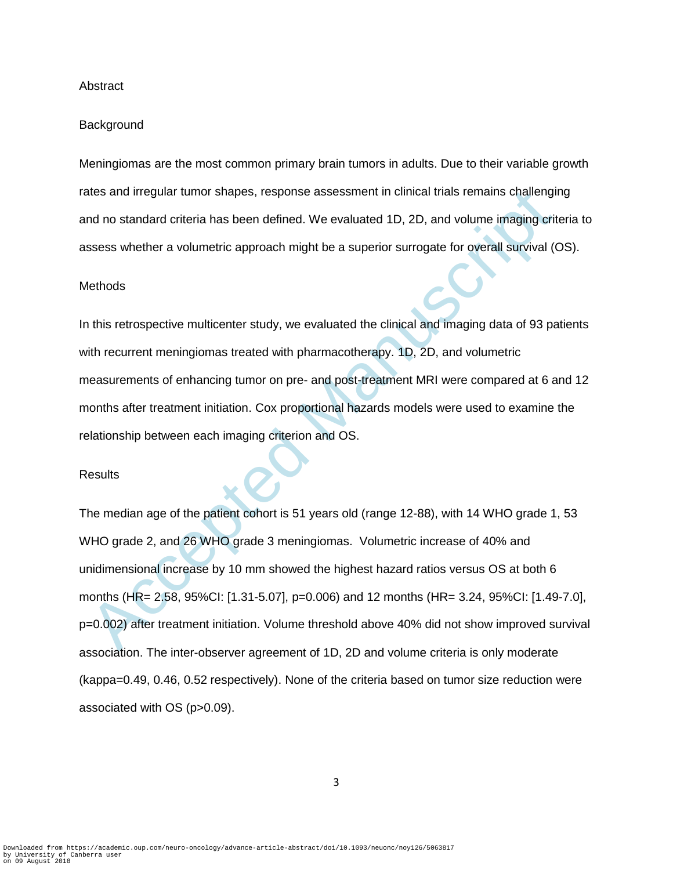### Abstract

#### **Background**

Meningiomas are the most common primary brain tumors in adults. Due to their variable growth rates and irregular tumor shapes, response assessment in clinical trials remains challenging and no standard criteria has been defined. We evaluated 1D, 2D, and volume imaging criteria to assess whether a volumetric approach might be a superior surrogate for overall survival (OS).

### **Methods**

In this retrospective multicenter study, we evaluated the clinical and imaging data of 93 patients with recurrent meningiomas treated with pharmacotherapy. 1D, 2D, and volumetric measurements of enhancing tumor on pre- and post-treatment MRI were compared at 6 and 12 months after treatment initiation. Cox proportional hazards models were used to examine the relationship between each imaging criterion and OS.

### **Results**

ates and irregular tumor shapes, response assessment in clinical trials remains challenging<br>and no standard criteria has been defined. We evaluated 1D, 2D, and volume imaging crit<br>sess whether a volumetric approach might b The median age of the patient cohort is 51 years old (range 12-88), with 14 WHO grade 1, 53 WHO grade 2, and 26 WHO grade 3 meningiomas. Volumetric increase of 40% and unidimensional increase by 10 mm showed the highest hazard ratios versus OS at both 6 months (HR= 2.58, 95%CI: [1.31-5.07], p=0.006) and 12 months (HR= 3.24, 95%CI: [1.49-7.0], p=0.002) after treatment initiation. Volume threshold above 40% did not show improved survival association. The inter-observer agreement of 1D, 2D and volume criteria is only moderate (kappa=0.49, 0.46, 0.52 respectively). None of the criteria based on tumor size reduction were associated with OS (p>0.09).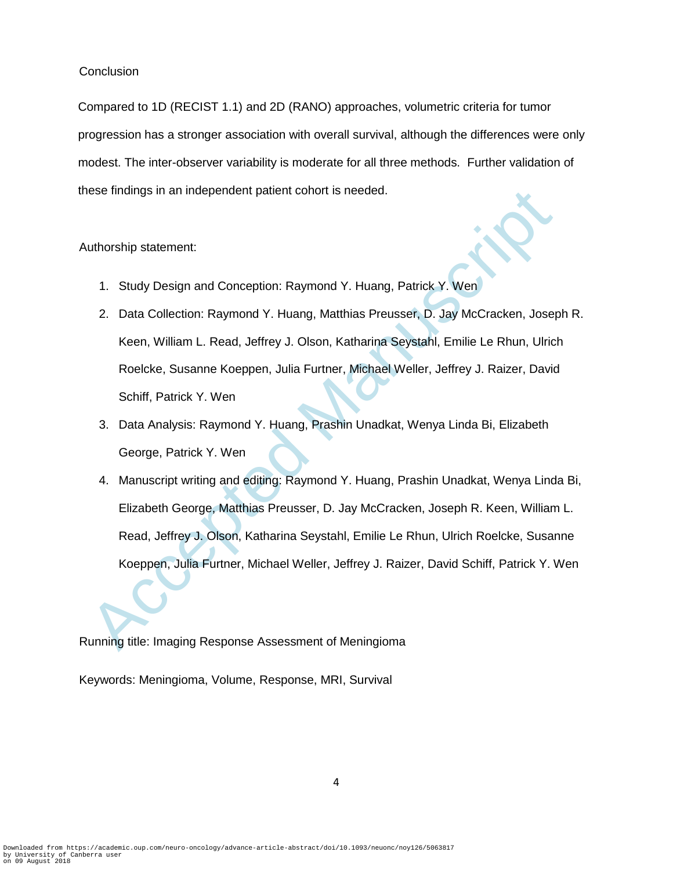## **Conclusion**

Compared to 1D (RECIST 1.1) and 2D (RANO) approaches, volumetric criteria for tumor progression has a stronger association with overall survival, although the differences were only modest. The inter-observer variability is moderate for all three methods. Further validation of these findings in an independent patient cohort is needed.

## Authorship statement:

- 1. Study Design and Conception: Raymond Y. Huang, Patrick Y. Wen
- 2. Data Collection: Raymond Y. Huang, Matthias Preusser, D. Jay McCracken, Joseph R. Keen, William L. Read, Jeffrey J. Olson, Katharina Seystahl, Emilie Le Rhun, Ulrich Roelcke, Susanne Koeppen, Julia Furtner, Michael Weller, Jeffrey J. Raizer, David Schiff, Patrick Y. Wen
- 3. Data Analysis: Raymond Y. Huang, Prashin Unadkat, Wenya Linda Bi, Elizabeth George, Patrick Y. Wen
- ese indings in an independent patient cohort is needed.<br>
Actionship statement:<br>
1. Study Design and Conception: Raymond Y. Huang, Patrick Y. Wen<br>
2. Data Collection: Raymond Y. Huang, Matthias Preusser, D. Jay McCracken, J 4. Manuscript writing and editing: Raymond Y. Huang, Prashin Unadkat, Wenya Linda Bi, Elizabeth George, Matthias Preusser, D. Jay McCracken, Joseph R. Keen, William L. Read, Jeffrey J. Olson, Katharina Seystahl, Emilie Le Rhun, Ulrich Roelcke, Susanne Koeppen, Julia Furtner, Michael Weller, Jeffrey J. Raizer, David Schiff, Patrick Y. Wen

# Running title: Imaging Response Assessment of Meningioma

Keywords: Meningioma, Volume, Response, MRI, Survival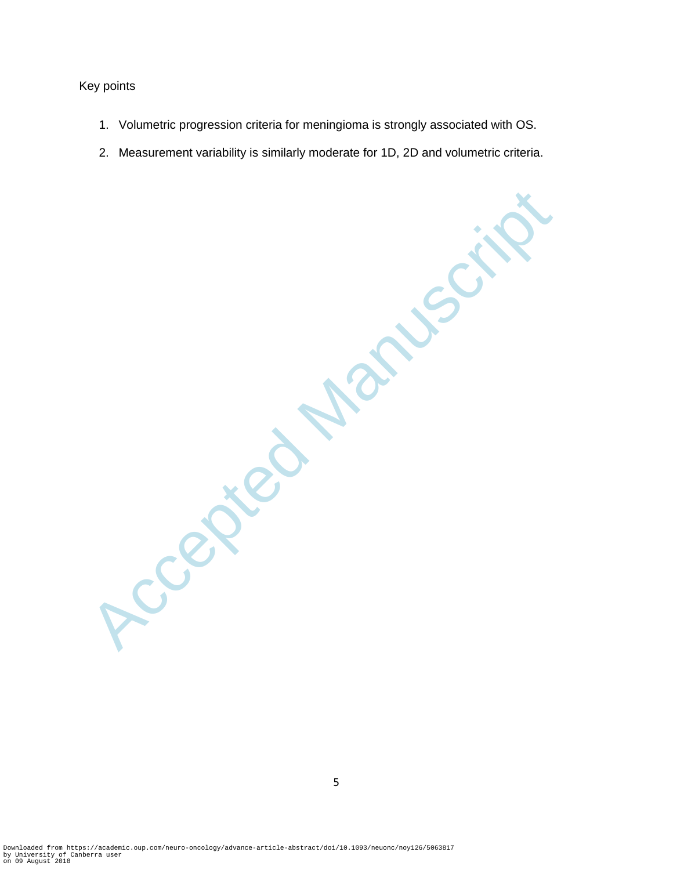# Key points

- 1. Volumetric progression criteria for meningioma is strongly associated with OS.
- 2. Measurement variability is similarly moderate for 1D, 2D and volumetric criteria.

Accepted Manuscript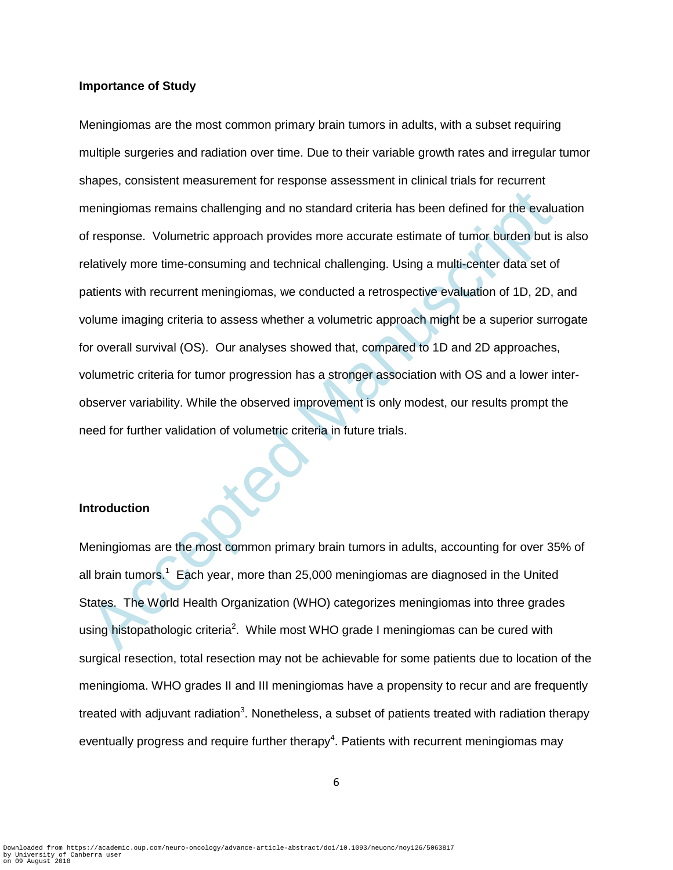## **Importance of Study**

neningiomas remains challenging and no standard criteria has been defined for the evaluation response. Volumetric approach provides more accurate estimate of tumor burden but is<br>Acceptors. Volumetric approach provides more Meningiomas are the most common primary brain tumors in adults, with a subset requiring multiple surgeries and radiation over time. Due to their variable growth rates and irregular tumor shapes, consistent measurement for response assessment in clinical trials for recurrent meningiomas remains challenging and no standard criteria has been defined for the evaluation of response. Volumetric approach provides more accurate estimate of tumor burden but is also relatively more time-consuming and technical challenging. Using a multi-center data set of patients with recurrent meningiomas, we conducted a retrospective evaluation of 1D, 2D, and volume imaging criteria to assess whether a volumetric approach might be a superior surrogate for overall survival (OS). Our analyses showed that, compared to 1D and 2D approaches, volumetric criteria for tumor progression has a stronger association with OS and a lower interobserver variability. While the observed improvement is only modest, our results prompt the need for further validation of volumetric criteria in future trials.

## **Introduction**

Meningiomas are the most common primary brain tumors in adults, accounting for over 35% of all brain tumors.<sup>1</sup> Each year, more than 25,000 meningiomas are diagnosed in the United States. The World Health Organization (WHO) categorizes meningiomas into three grades using histopathologic criteria<sup>2</sup>. While most WHO grade I meningiomas can be cured with surgical resection, total resection may not be achievable for some patients due to location of the meningioma. WHO grades II and III meningiomas have a propensity to recur and are frequently treated with adjuvant radiation<sup>3</sup>. Nonetheless, a subset of patients treated with radiation therapy eventually progress and require further therapy<sup>4</sup>. Patients with recurrent meningiomas may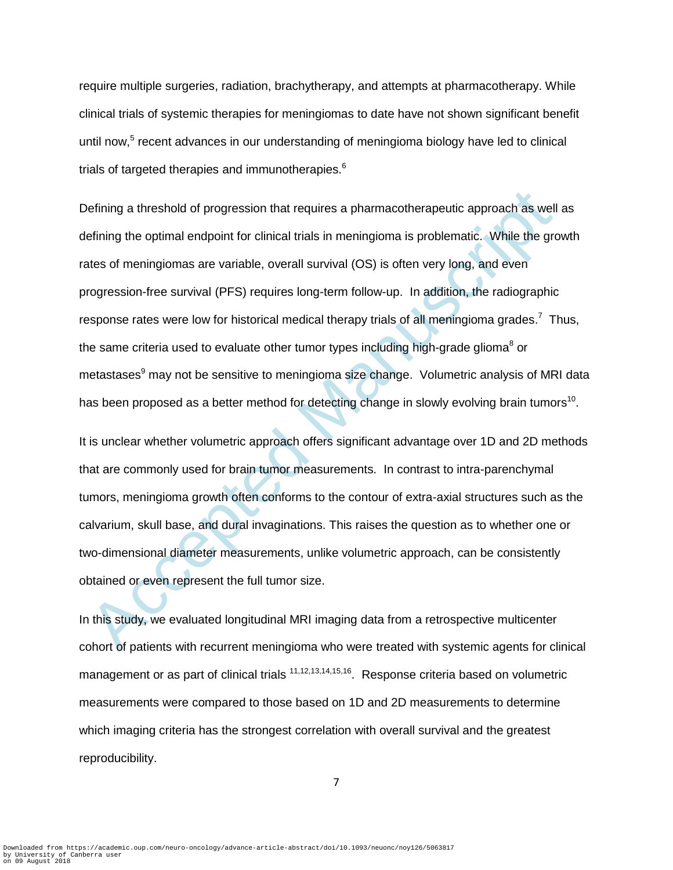require multiple surgeries, radiation, brachytherapy, and attempts at pharmacotherapy. While clinical trials of systemic therapies for meningiomas to date have not shown significant benefit until now,<sup>5</sup> recent advances in our understanding of meningioma biology have led to clinical trials of targeted therapies and immunotherapies.<sup>6</sup>

befining a threshold of progression that requires a pharmacotherapeutic approach as well<br>efining the optimal endpoint for clinical trials in meningioma is problematic. While the gro<br>dates of meningiomas are variable, overa Defining a threshold of progression that requires a pharmacotherapeutic approach as well as defining the optimal endpoint for clinical trials in meningioma is problematic. While the growth rates of meningiomas are variable, overall survival (OS) is often very long, and even progression-free survival (PFS) requires long-term follow-up. In addition, the radiographic response rates were low for historical medical therapy trials of all meningioma grades.<sup>7</sup> Thus, the same criteria used to evaluate other tumor types including high-grade glioma<sup>8</sup> or metastases<sup>9</sup> may not be sensitive to meningioma size change. Volumetric analysis of MRI data has been proposed as a better method for detecting change in slowly evolving brain tumors<sup>10</sup>.

It is unclear whether volumetric approach offers significant advantage over 1D and 2D methods that are commonly used for brain tumor measurements. In contrast to intra-parenchymal tumors, meningioma growth often conforms to the contour of extra-axial structures such as the calvarium, skull base, and dural invaginations. This raises the question as to whether one or two-dimensional diameter measurements, unlike volumetric approach, can be consistently obtained or even represent the full tumor size.

In this study, we evaluated longitudinal MRI imaging data from a retrospective multicenter cohort of patients with recurrent meningioma who were treated with systemic agents for clinical management or as part of clinical trials <sup>11,12,13,14,15,16</sup>. Response criteria based on volumetric measurements were compared to those based on 1D and 2D measurements to determine which imaging criteria has the strongest correlation with overall survival and the greatest reproducibility.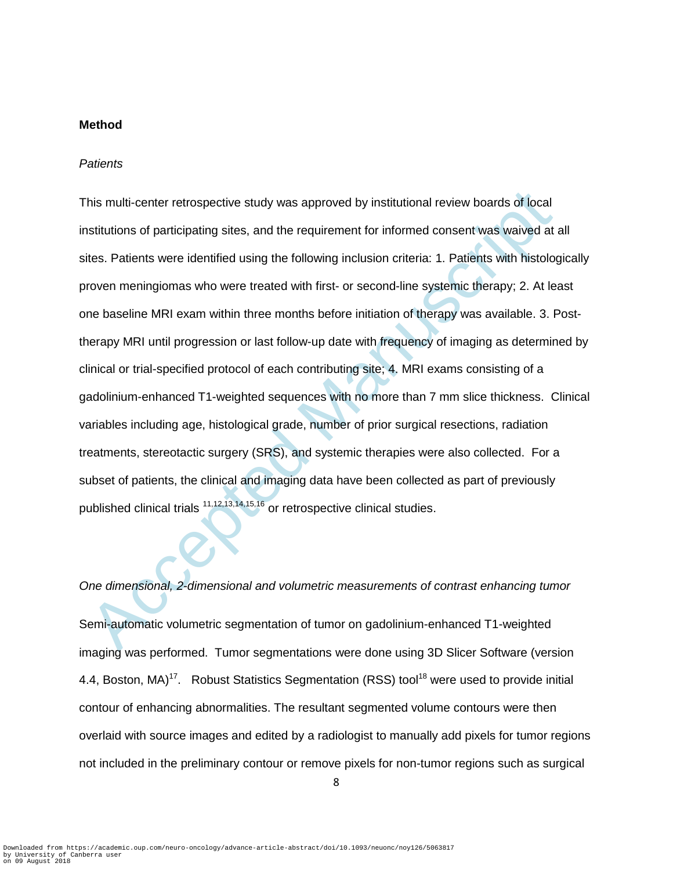#### **Method**

### *Patients*

his multi-center retrospective study was approved by institutional review boards of local<br>stitutions of participating sites, and the requirement for informed consent was waived at<br>tites. Patients were identified using the This multi-center retrospective study was approved by institutional review boards of local institutions of participating sites, and the requirement for informed consent was waived at all sites. Patients were identified using the following inclusion criteria: 1. Patients with histologically proven meningiomas who were treated with first- or second-line systemic therapy; 2. At least one baseline MRI exam within three months before initiation of therapy was available. 3. Posttherapy MRI until progression or last follow-up date with frequency of imaging as determined by clinical or trial-specified protocol of each contributing site; 4. MRI exams consisting of a gadolinium-enhanced T1-weighted sequences with no more than 7 mm slice thickness. Clinical variables including age, histological grade, number of prior surgical resections, radiation treatments, stereotactic surgery (SRS), and systemic therapies were also collected. For a subset of patients, the clinical and imaging data have been collected as part of previously published clinical trials 11,12,13,14,15,16 or retrospective clinical studies.

*One dimensional, 2-dimensional and volumetric measurements of contrast enhancing tumor* 

Semi-automatic volumetric segmentation of tumor on gadolinium-enhanced T1-weighted imaging was performed. Tumor segmentations were done using 3D Slicer Software (version 4.4, Boston, MA)<sup>17</sup>. Robust Statistics Segmentation (RSS) tool<sup>18</sup> were used to provide initial contour of enhancing abnormalities. The resultant segmented volume contours were then overlaid with source images and edited by a radiologist to manually add pixels for tumor regions not included in the preliminary contour or remove pixels for non-tumor regions such as surgical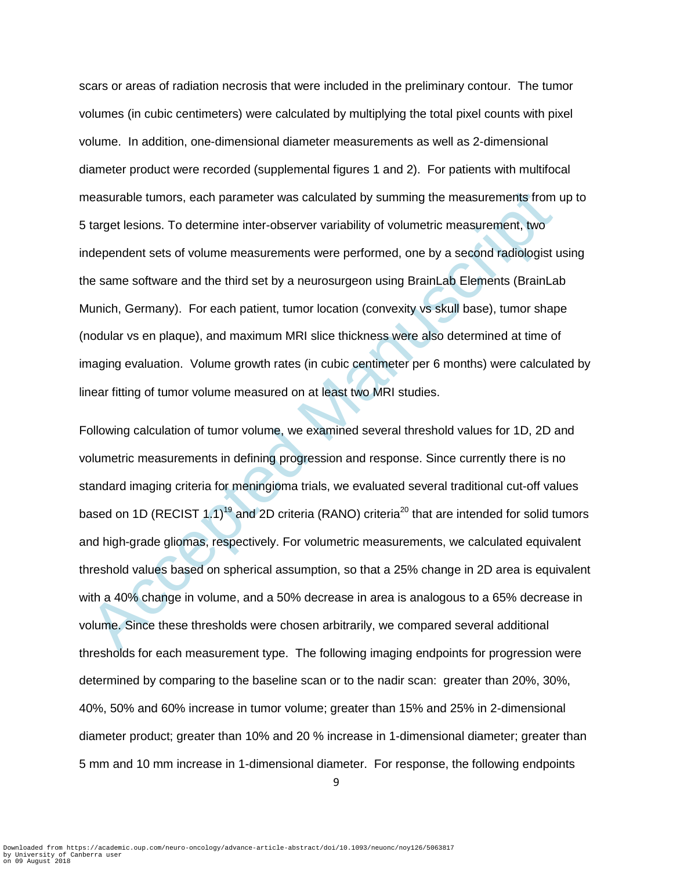scars or areas of radiation necrosis that were included in the preliminary contour. The tumor volumes (in cubic centimeters) were calculated by multiplying the total pixel counts with pixel volume. In addition, one-dimensional diameter measurements as well as 2-dimensional diameter product were recorded (supplemental figures 1 and 2). For patients with multifocal measurable tumors, each parameter was calculated by summing the measurements from up to 5 target lesions. To determine inter-observer variability of volumetric measurement, two independent sets of volume measurements were performed, one by a second radiologist using the same software and the third set by a neurosurgeon using BrainLab Elements (BrainLab Munich, Germany). For each patient, tumor location (convexity vs skull base), tumor shape (nodular vs en plaque), and maximum MRI slice thickness were also determined at time of imaging evaluation. Volume growth rates (in cubic centimeter per 6 months) were calculated by linear fitting of tumor volume measured on at least two MRI studies.

reasurable tumors, each parameter was calculated by summing the measurements from<br>target lesions. To determine inter-observer variability of volumetric measurement, two<br>idependent sets of volume measurements were performed Following calculation of tumor volume, we examined several threshold values for 1D, 2D and volumetric measurements in defining progression and response. Since currently there is no standard imaging criteria for meningioma trials, we evaluated several traditional cut-off values based on 1D (RECIST 1.1)<sup>19</sup> and 2D criteria (RANO) criteria<sup>20</sup> that are intended for solid tumors and high-grade gliomas, respectively. For volumetric measurements, we calculated equivalent threshold values based on spherical assumption, so that a 25% change in 2D area is equivalent with a 40% change in volume, and a 50% decrease in area is analogous to a 65% decrease in volume. Since these thresholds were chosen arbitrarily, we compared several additional thresholds for each measurement type. The following imaging endpoints for progression were determined by comparing to the baseline scan or to the nadir scan: greater than 20%, 30%, 40%, 50% and 60% increase in tumor volume; greater than 15% and 25% in 2-dimensional diameter product; greater than 10% and 20 % increase in 1-dimensional diameter; greater than 5 mm and 10 mm increase in 1-dimensional diameter. For response, the following endpoints

9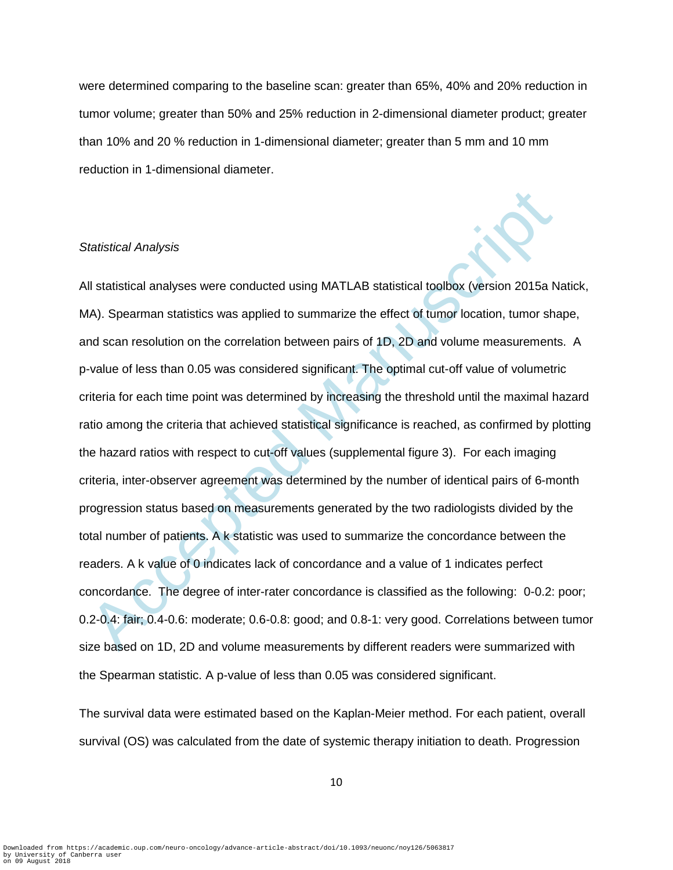were determined comparing to the baseline scan: greater than 65%, 40% and 20% reduction in tumor volume; greater than 50% and 25% reduction in 2-dimensional diameter product; greater than 10% and 20 % reduction in 1-dimensional diameter; greater than 5 mm and 10 mm reduction in 1-dimensional diameter.

# *Statistical Analysis*

Statistical Analysis<br>
Il statistical analyses were conducted using MATLAB statistical toolbox (version 2015a N<br>
1A). Spearman statistics was applied to summarize the effect of tumor location, tumor shand scan resolution on All statistical analyses were conducted using MATLAB statistical toolbox (version 2015a Natick, MA). Spearman statistics was applied to summarize the effect of tumor location, tumor shape, and scan resolution on the correlation between pairs of 1D, 2D and volume measurements. A p-value of less than 0.05 was considered significant. The optimal cut-off value of volumetric criteria for each time point was determined by increasing the threshold until the maximal hazard ratio among the criteria that achieved statistical significance is reached, as confirmed by plotting the hazard ratios with respect to cut-off values (supplemental figure 3). For each imaging criteria, inter-observer agreement was determined by the number of identical pairs of 6-month progression status based on measurements generated by the two radiologists divided by the total number of patients. A k statistic was used to summarize the concordance between the readers. A k value of 0 indicates lack of concordance and a value of 1 indicates perfect concordance. The degree of inter-rater concordance is classified as the following: 0-0.2: poor; 0.2-0.4: fair; 0.4-0.6: moderate; 0.6-0.8: good; and 0.8-1: very good. Correlations between tumor size based on 1D, 2D and volume measurements by different readers were summarized with the Spearman statistic. A p-value of less than 0.05 was considered significant.

The survival data were estimated based on the Kaplan-Meier method. For each patient, overall survival (OS) was calculated from the date of systemic therapy initiation to death. Progression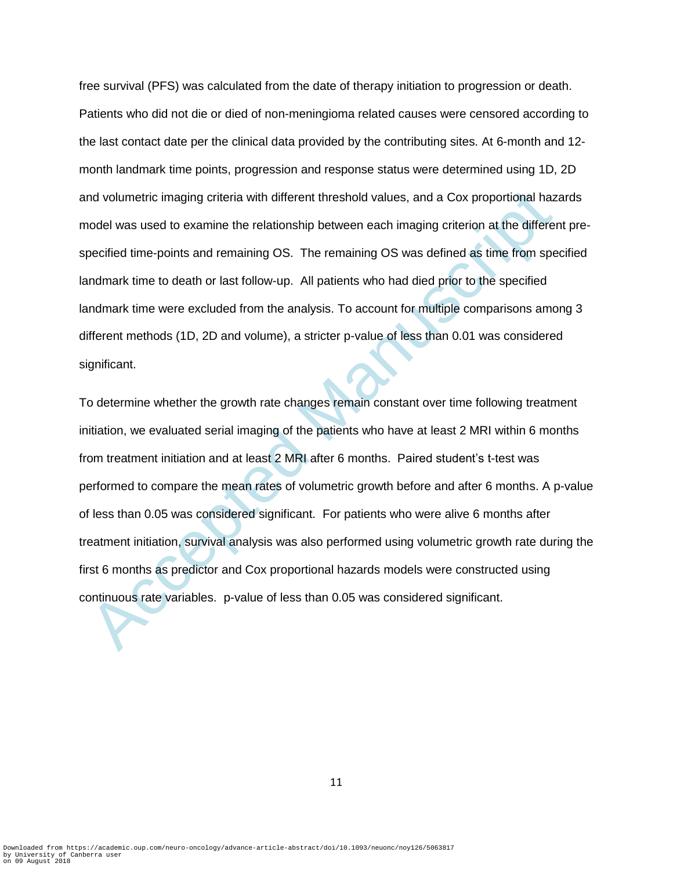free survival (PFS) was calculated from the date of therapy initiation to progression or death. Patients who did not die or died of non-meningioma related causes were censored according to the last contact date per the clinical data provided by the contributing sites. At 6-month and 12 month landmark time points, progression and response status were determined using 1D, 2D and volumetric imaging criteria with different threshold values, and a Cox proportional hazards model was used to examine the relationship between each imaging criterion at the different prespecified time-points and remaining OS. The remaining OS was defined as time from specified landmark time to death or last follow-up. All patients who had died prior to the specified landmark time were excluded from the analysis. To account for multiple comparisons among 3 different methods (1D, 2D and volume), a stricter p-value of less than 0.01 was considered significant.

nd volumetric imaging criteria with different threshold values, and a Cox proportional haz<br>nodel was used to examine the relationship between each imaging criterion at the differer<br>pecified time-points and remaining OS. Th To determine whether the growth rate changes remain constant over time following treatment initiation, we evaluated serial imaging of the patients who have at least 2 MRI within 6 months from treatment initiation and at least 2 MRI after 6 months. Paired student's t-test was performed to compare the mean rates of volumetric growth before and after 6 months. A p-value of less than 0.05 was considered significant. For patients who were alive 6 months after treatment initiation, survival analysis was also performed using volumetric growth rate during the first 6 months as predictor and Cox proportional hazards models were constructed using continuous rate variables. p-value of less than 0.05 was considered significant.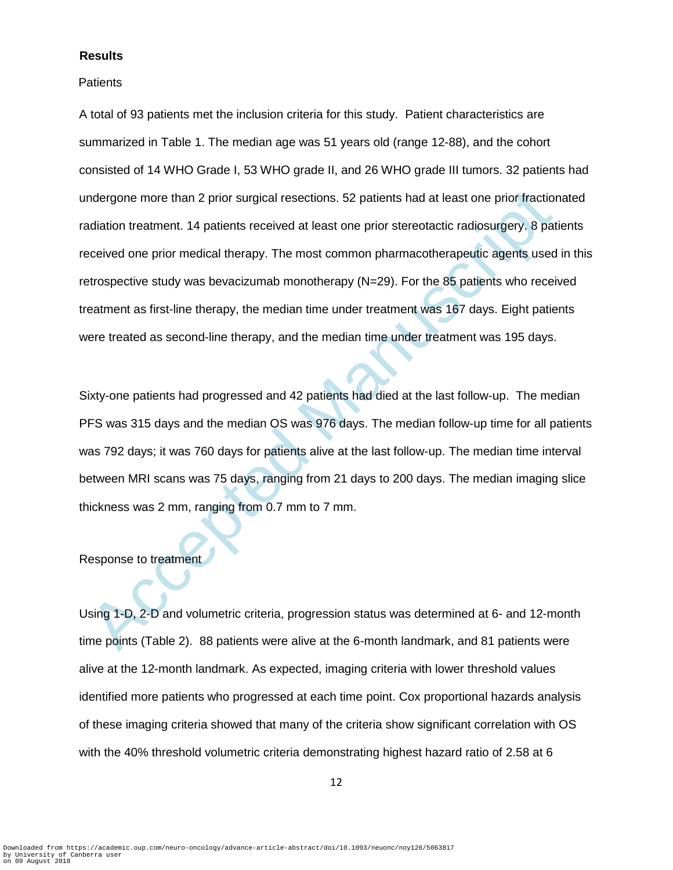### **Results**

#### Patients

ndergone more than 2 prior surgical resections. 52 patients had at least one prior fraction<br>adiation treatment. 14 patients received at least one prior stereotactic radiosurgery. 8 patieceived one prior medical therapy. Th A total of 93 patients met the inclusion criteria for this study. Patient characteristics are summarized in Table 1. The median age was 51 years old (range 12-88), and the cohort consisted of 14 WHO Grade I, 53 WHO grade II, and 26 WHO grade III tumors. 32 patients had undergone more than 2 prior surgical resections. 52 patients had at least one prior fractionated radiation treatment. 14 patients received at least one prior stereotactic radiosurgery. 8 patients received one prior medical therapy. The most common pharmacotherapeutic agents used in this retrospective study was bevacizumab monotherapy (N=29). For the 85 patients who received treatment as first-line therapy, the median time under treatment was 167 days. Eight patients were treated as second-line therapy, and the median time under treatment was 195 days.

Sixty-one patients had progressed and 42 patients had died at the last follow-up. The median PFS was 315 days and the median OS was 976 days. The median follow-up time for all patients was 792 days; it was 760 days for patients alive at the last follow-up. The median time interval between MRI scans was 75 days, ranging from 21 days to 200 days. The median imaging slice thickness was 2 mm, ranging from 0.7 mm to 7 mm.

Response to treatment

Using 1-D, 2-D and volumetric criteria, progression status was determined at 6- and 12-month time points (Table 2). 88 patients were alive at the 6-month landmark, and 81 patients were alive at the 12-month landmark. As expected, imaging criteria with lower threshold values identified more patients who progressed at each time point. Cox proportional hazards analysis of these imaging criteria showed that many of the criteria show significant correlation with OS with the 40% threshold volumetric criteria demonstrating highest hazard ratio of 2.58 at 6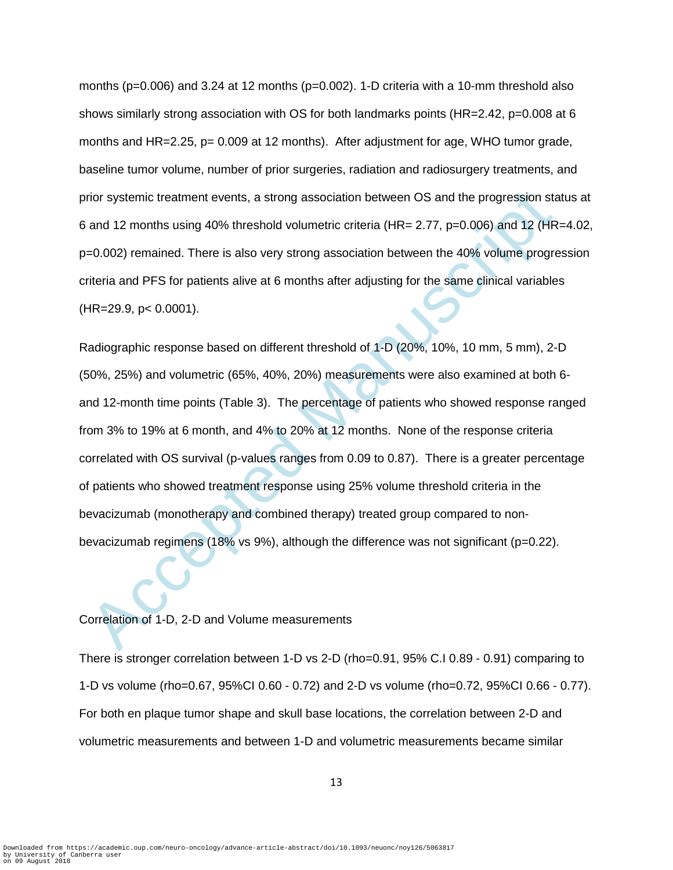months ( $p=0.006$ ) and 3.24 at 12 months ( $p=0.002$ ). 1-D criteria with a 10-mm threshold also shows similarly strong association with OS for both landmarks points (HR=2.42, p=0.008 at 6 months and HR=2.25, p= 0.009 at 12 months). After adjustment for age, WHO tumor grade, baseline tumor volume, number of prior surgeries, radiation and radiosurgery treatments, and prior systemic treatment events, a strong association between OS and the progression status at 6 and 12 months using 40% threshold volumetric criteria (HR= 2.77, p=0.006) and 12 (HR=4.02, p=0.002) remained. There is also very strong association between the 40% volume progression criteria and PFS for patients alive at 6 months after adjusting for the same clinical variables (HR=29.9, p< 0.0001).

rior systemic treatment events, a strong association between OS and the progression stand 12 months using 40% threshold volumetric criteria (HR= 2.77, p=0.006) and 12 (HR<br>=0.002) remained. There is also very strong associa Radiographic response based on different threshold of 1-D (20%, 10%, 10 mm, 5 mm), 2-D (50%, 25%) and volumetric (65%, 40%, 20%) measurements were also examined at both 6 and 12-month time points (Table 3). The percentage of patients who showed response ranged from 3% to 19% at 6 month, and 4% to 20% at 12 months. None of the response criteria correlated with OS survival (p-values ranges from 0.09 to 0.87). There is a greater percentage of patients who showed treatment response using 25% volume threshold criteria in the bevacizumab (monotherapy and combined therapy) treated group compared to nonbevacizumab regimens (18% vs 9%), although the difference was not significant (p=0.22).

## Correlation of 1-D, 2-D and Volume measurements

There is stronger correlation between 1-D vs 2-D (rho=0.91, 95% C.I 0.89 - 0.91) comparing to 1-D vs volume (rho=0.67, 95%CI 0.60 - 0.72) and 2-D vs volume (rho=0.72, 95%CI 0.66 - 0.77). For both en plaque tumor shape and skull base locations, the correlation between 2-D and volumetric measurements and between 1-D and volumetric measurements became similar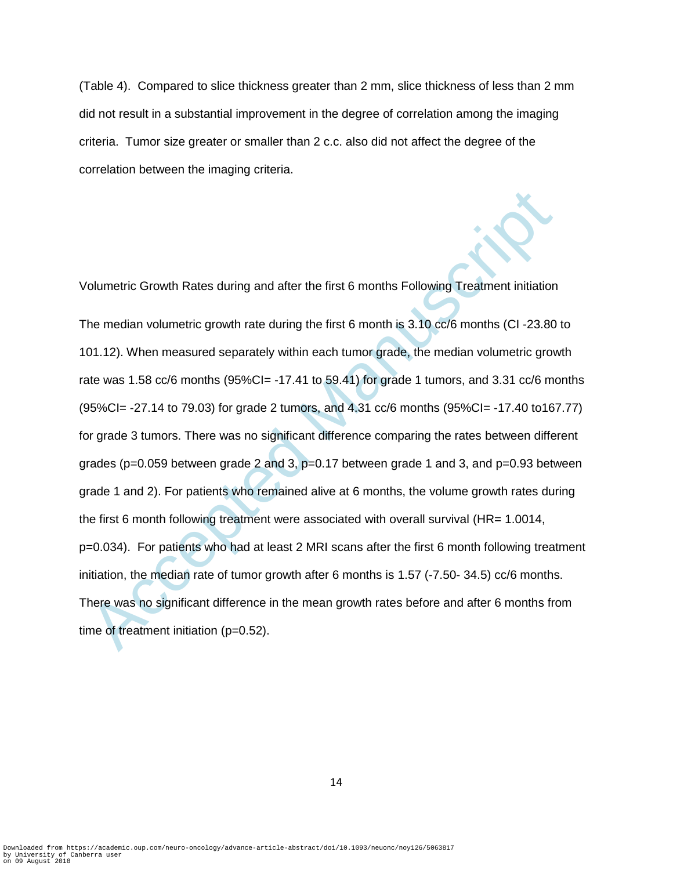(Table 4). Compared to slice thickness greater than 2 mm, slice thickness of less than 2 mm did not result in a substantial improvement in the degree of correlation among the imaging criteria. Tumor size greater or smaller than 2 c.c. also did not affect the degree of the correlation between the imaging criteria.

Columetric Growth Rates during and after the first 6 months Following Treatment initiation<br>The median volumetric growth rate during the first 6 month is 3.10 cc/6 months (CI -23.80<br>
01.12). When measured separately within Volumetric Growth Rates during and after the first 6 months Following Treatment initiation The median volumetric growth rate during the first 6 month is 3.10 cc/6 months (CI -23.80 to 101.12). When measured separately within each tumor grade, the median volumetric growth rate was 1.58 cc/6 months  $(95\%CI = -17.41$  to 59.41) for grade 1 tumors, and 3.31 cc/6 months (95%CI= -27.14 to 79.03) for grade 2 tumors, and 4.31 cc/6 months (95%CI= -17.40 to167.77) for grade 3 tumors. There was no significant difference comparing the rates between different grades ( $p=0.059$  between grade 2 and 3,  $p=0.17$  between grade 1 and 3, and  $p=0.93$  between grade 1 and 2). For patients who remained alive at 6 months, the volume growth rates during the first 6 month following treatment were associated with overall survival (HR= 1.0014, p=0.034). For patients who had at least 2 MRI scans after the first 6 month following treatment initiation, the median rate of tumor growth after 6 months is 1.57 (-7.50- 34.5) cc/6 months. There was no significant difference in the mean growth rates before and after 6 months from time of treatment initiation (p=0.52).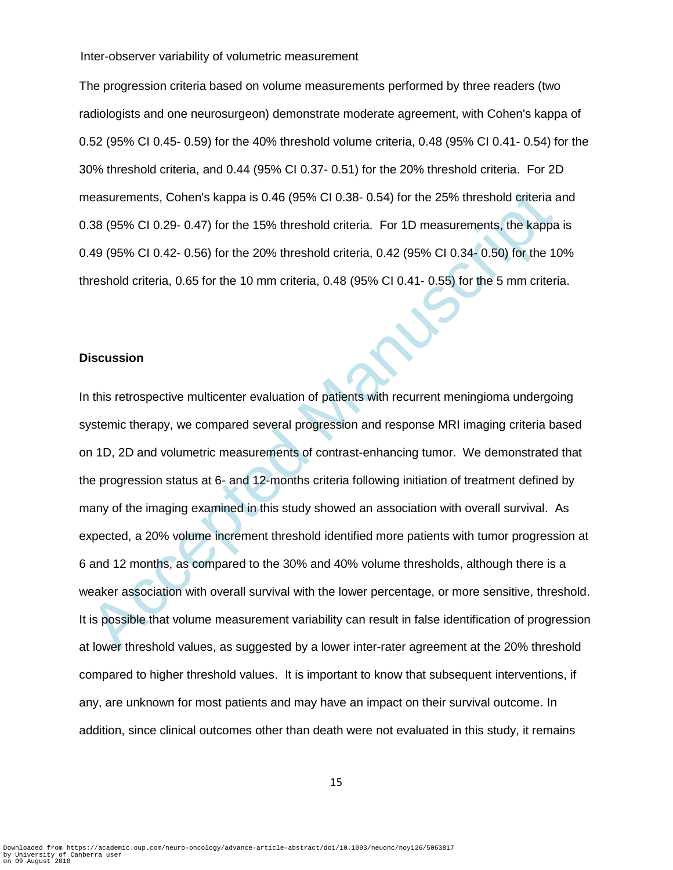Inter-observer variability of volumetric measurement

The progression criteria based on volume measurements performed by three readers (two radiologists and one neurosurgeon) demonstrate moderate agreement, with Cohen's kappa of 0.52 (95% CI 0.45- 0.59) for the 40% threshold volume criteria, 0.48 (95% CI 0.41- 0.54) for the 30% threshold criteria, and 0.44 (95% CI 0.37- 0.51) for the 20% threshold criteria. For 2D measurements, Cohen's kappa is 0.46 (95% CI 0.38- 0.54) for the 25% threshold criteria and 0.38 (95% CI 0.29- 0.47) for the 15% threshold criteria. For 1D measurements, the kappa is 0.49 (95% CI 0.42- 0.56) for the 20% threshold criteria, 0.42 (95% CI 0.34- 0.50) for the 10% threshold criteria, 0.65 for the 10 mm criteria, 0.48 (95% CI 0.41- 0.55) for the 5 mm criteria.

### **Discussion**

easurements, Cohen's kappa is 0.46 (95% CI 0.38-0.54) for the 25% threshold criteria a<br>
38 (95% CI 0.29-0.47) for the 15% threshold criteria. For 1D measurements, the kappa<br>
49 (95% CI 0.29-0.47) for the 10% threshold crit In this retrospective multicenter evaluation of patients with recurrent meningioma undergoing systemic therapy, we compared several progression and response MRI imaging criteria based on 1D, 2D and volumetric measurements of contrast-enhancing tumor. We demonstrated that the progression status at 6- and 12-months criteria following initiation of treatment defined by many of the imaging examined in this study showed an association with overall survival. As expected, a 20% volume increment threshold identified more patients with tumor progression at 6 and 12 months, as compared to the 30% and 40% volume thresholds, although there is a weaker association with overall survival with the lower percentage, or more sensitive, threshold. It is possible that volume measurement variability can result in false identification of progression at lower threshold values, as suggested by a lower inter-rater agreement at the 20% threshold compared to higher threshold values. It is important to know that subsequent interventions, if any, are unknown for most patients and may have an impact on their survival outcome. In addition, since clinical outcomes other than death were not evaluated in this study, it remains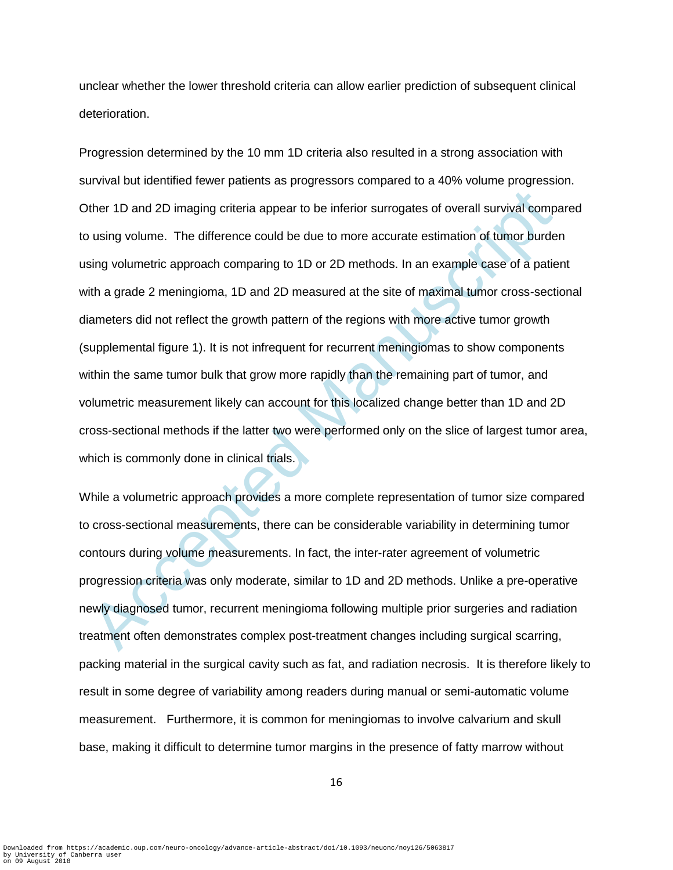unclear whether the lower threshold criteria can allow earlier prediction of subsequent clinical deterioration.

bther 1D and 2D imaging criteria appear to be inferior surrogates of overall survival compousing volume. The difference could be due to more accurate estimation of tumor burde<br>sing volumetric approach comparing to 1D or 2D Progression determined by the 10 mm 1D criteria also resulted in a strong association with survival but identified fewer patients as progressors compared to a 40% volume progression. Other 1D and 2D imaging criteria appear to be inferior surrogates of overall survival compared to using volume. The difference could be due to more accurate estimation of tumor burden using volumetric approach comparing to 1D or 2D methods. In an example case of a patient with a grade 2 meningioma, 1D and 2D measured at the site of maximal tumor cross-sectional diameters did not reflect the growth pattern of the regions with more active tumor growth (supplemental figure 1). It is not infrequent for recurrent meningiomas to show components within the same tumor bulk that grow more rapidly than the remaining part of tumor, and volumetric measurement likely can account for this localized change better than 1D and 2D cross-sectional methods if the latter two were performed only on the slice of largest tumor area, which is commonly done in clinical trials.

While a volumetric approach provides a more complete representation of tumor size compared to cross-sectional measurements, there can be considerable variability in determining tumor contours during volume measurements. In fact, the inter-rater agreement of volumetric progression criteria was only moderate, similar to 1D and 2D methods. Unlike a pre-operative newly diagnosed tumor, recurrent meningioma following multiple prior surgeries and radiation treatment often demonstrates complex post-treatment changes including surgical scarring, packing material in the surgical cavity such as fat, and radiation necrosis. It is therefore likely to result in some degree of variability among readers during manual or semi-automatic volume measurement. Furthermore, it is common for meningiomas to involve calvarium and skull base, making it difficult to determine tumor margins in the presence of fatty marrow without

16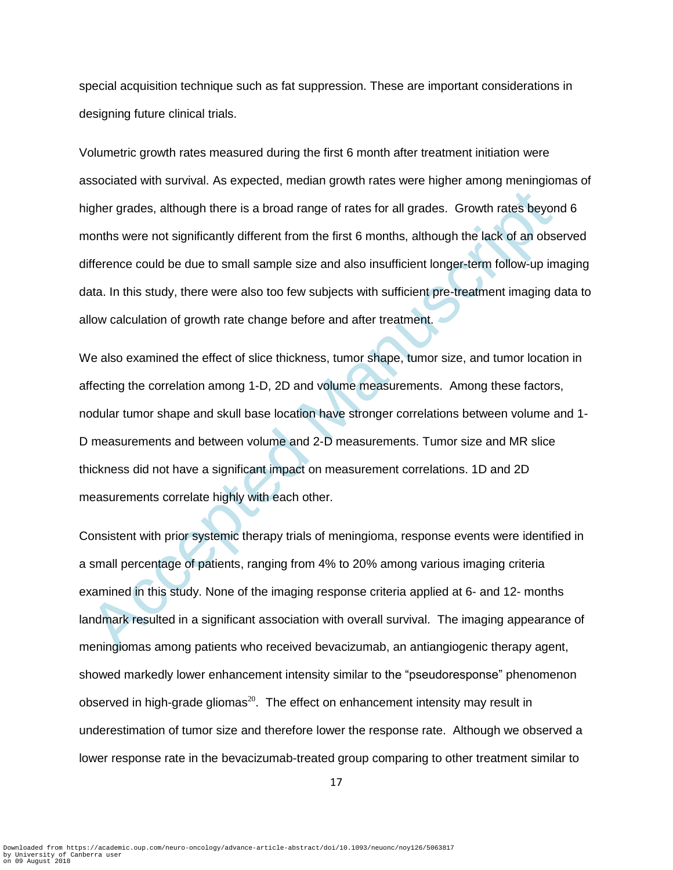special acquisition technique such as fat suppression. These are important considerations in designing future clinical trials.

Volumetric growth rates measured during the first 6 month after treatment initiation were associated with survival. As expected, median growth rates were higher among meningiomas of higher grades, although there is a broad range of rates for all grades. Growth rates beyond 6 months were not significantly different from the first 6 months, although the lack of an observed difference could be due to small sample size and also insufficient longer-term follow-up imaging data. In this study, there were also too few subjects with sufficient pre-treatment imaging data to allow calculation of growth rate change before and after treatment.

igher grades, although there is a broad range of rates for all grades. Growth rates beyon<br>nonths were not significantly different from the first 6 months, although the lack of an obset<br>ifference could be due to small sampl We also examined the effect of slice thickness, tumor shape, tumor size, and tumor location in affecting the correlation among 1-D, 2D and volume measurements. Among these factors, nodular tumor shape and skull base location have stronger correlations between volume and 1- D measurements and between volume and 2-D measurements. Tumor size and MR slice thickness did not have a significant impact on measurement correlations. 1D and 2D measurements correlate highly with each other.

Consistent with prior systemic therapy trials of meningioma, response events were identified in a small percentage of patients, ranging from 4% to 20% among various imaging criteria examined in this study. None of the imaging response criteria applied at 6- and 12- months landmark resulted in a significant association with overall survival. The imaging appearance of meningiomas among patients who received bevacizumab, an antiangiogenic therapy agent, showed markedly lower enhancement intensity similar to the "pseudoresponse" phenomenon observed in high-grade gliomas<sup>20</sup>. The effect on enhancement intensity may result in underestimation of tumor size and therefore lower the response rate. Although we observed a lower response rate in the bevacizumab-treated group comparing to other treatment similar to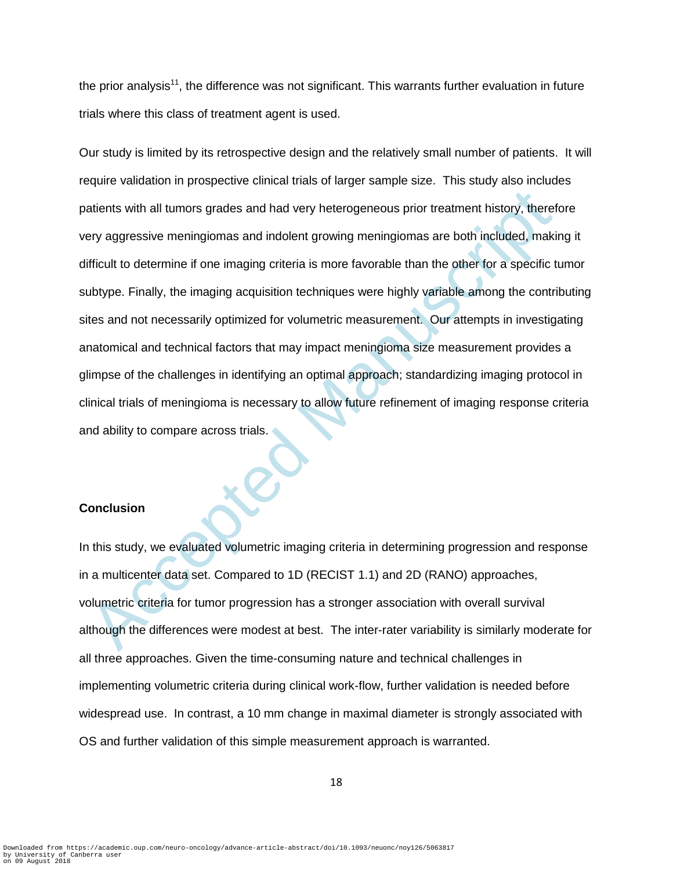the prior analysis<sup>11</sup>, the difference was not significant. This warrants further evaluation in future trials where this class of treatment agent is used.

atients with all tumors grades and had very heterogeneous prior treatment history, therefory aggressive meningiomas and indolent growing meningiomas are both included, makificult to determine if one imaging criteria is mor Our study is limited by its retrospective design and the relatively small number of patients. It will require validation in prospective clinical trials of larger sample size. This study also includes patients with all tumors grades and had very heterogeneous prior treatment history, therefore very aggressive meningiomas and indolent growing meningiomas are both included, making it difficult to determine if one imaging criteria is more favorable than the other for a specific tumor subtype. Finally, the imaging acquisition techniques were highly variable among the contributing sites and not necessarily optimized for volumetric measurement. Our attempts in investigating anatomical and technical factors that may impact meningioma size measurement provides a glimpse of the challenges in identifying an optimal approach; standardizing imaging protocol in clinical trials of meningioma is necessary to allow future refinement of imaging response criteria and ability to compare across trials.

## **Conclusion**

In this study, we evaluated volumetric imaging criteria in determining progression and response in a multicenter data set. Compared to 1D (RECIST 1.1) and 2D (RANO) approaches, volumetric criteria for tumor progression has a stronger association with overall survival although the differences were modest at best. The inter-rater variability is similarly moderate for all three approaches. Given the time-consuming nature and technical challenges in implementing volumetric criteria during clinical work-flow, further validation is needed before widespread use. In contrast, a 10 mm change in maximal diameter is strongly associated with OS and further validation of this simple measurement approach is warranted.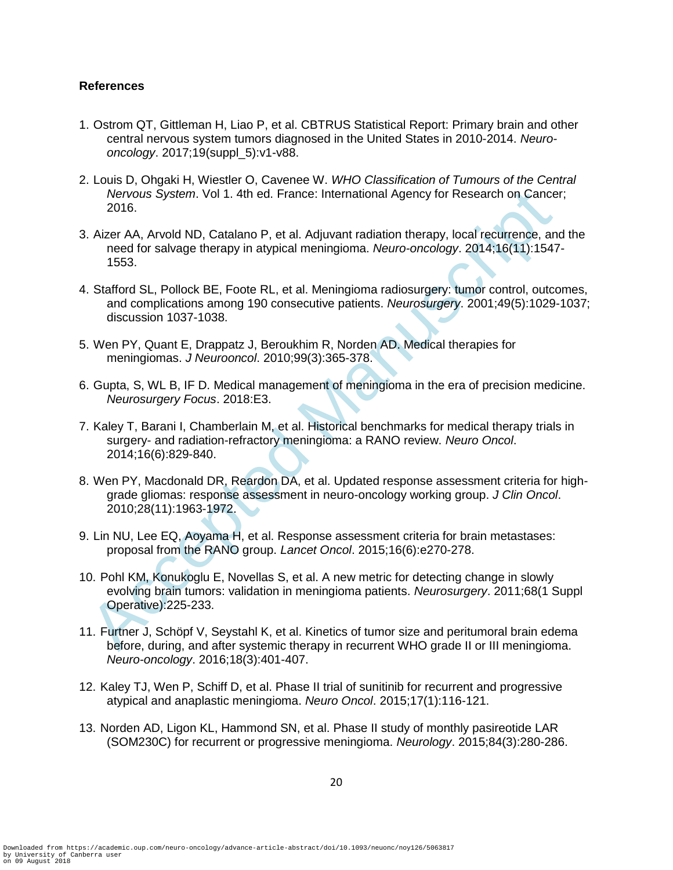# **References**

- 1. Ostrom QT, Gittleman H, Liao P, et al. CBTRUS Statistical Report: Primary brain and other central nervous system tumors diagnosed in the United States in 2010-2014. *Neurooncology*. 2017;19(suppl\_5):v1-v88.
- 2. Louis D, Ohgaki H, Wiestler O, Cavenee W. *WHO Classification of Tumours of the Central Nervous System*. Vol 1. 4th ed. France: International Agency for Research on Cancer; 2016.
- Nervus System. Vol 1. 4th ed. France: International Agency for Research on Cance<br>
2016.<br>
Accer AA, Arvold ND, Catalano P, et al. Adjuvant radiation therapy, local recurrence, an<br>
need for salwage therapy in atypical mening 3. Aizer AA, Arvold ND, Catalano P, et al. Adjuvant radiation therapy, local recurrence, and the need for salvage therapy in atypical meningioma. *Neuro-oncology*. 2014;16(11):1547- 1553.
- 4. Stafford SL, Pollock BE, Foote RL, et al. Meningioma radiosurgery: tumor control, outcomes, and complications among 190 consecutive patients. *Neurosurgery*. 2001;49(5):1029-1037; discussion 1037-1038.
- 5. Wen PY, Quant E, Drappatz J, Beroukhim R, Norden AD. Medical therapies for meningiomas. *J Neurooncol*. 2010;99(3):365-378.
- 6. Gupta, S, WL B, IF D. Medical management of meningioma in the era of precision medicine. *Neurosurgery Focus*. 2018:E3.
- 7. Kaley T, Barani I, Chamberlain M, et al. Historical benchmarks for medical therapy trials in surgery- and radiation-refractory meningioma: a RANO review. *Neuro Oncol*. 2014;16(6):829-840.
- 8. Wen PY, Macdonald DR, Reardon DA, et al. Updated response assessment criteria for highgrade gliomas: response assessment in neuro-oncology working group. *J Clin Oncol*. 2010;28(11):1963-1972.
- 9. Lin NU, Lee EQ, Aoyama H, et al. Response assessment criteria for brain metastases: proposal from the RANO group. *Lancet Oncol*. 2015;16(6):e270-278.
- 10. Pohl KM, Konukoglu E, Novellas S, et al. A new metric for detecting change in slowly evolving brain tumors: validation in meningioma patients. *Neurosurgery*. 2011;68(1 Suppl Operative):225-233.
- 11. Furtner J, Schöpf V, Seystahl K, et al. Kinetics of tumor size and peritumoral brain edema before, during, and after systemic therapy in recurrent WHO grade II or III meningioma. *Neuro-oncology*. 2016;18(3):401-407.
- 12. Kaley TJ, Wen P, Schiff D, et al. Phase II trial of sunitinib for recurrent and progressive atypical and anaplastic meningioma. *Neuro Oncol*. 2015;17(1):116-121.
- 13. Norden AD, Ligon KL, Hammond SN, et al. Phase II study of monthly pasireotide LAR (SOM230C) for recurrent or progressive meningioma. *Neurology*. 2015;84(3):280-286.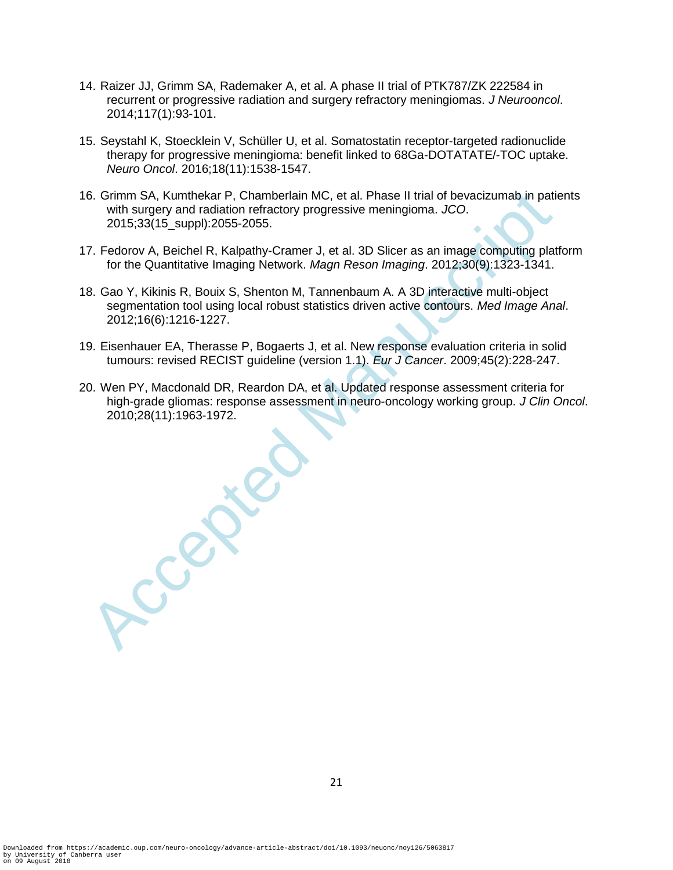- 14. Raizer JJ, Grimm SA, Rademaker A, et al. A phase II trial of PTK787/ZK 222584 in recurrent or progressive radiation and surgery refractory meningiomas. *J Neurooncol*. 2014;117(1):93-101.
- 15. Seystahl K, Stoecklein V, Schüller U, et al. Somatostatin receptor-targeted radionuclide therapy for progressive meningioma: benefit linked to 68Ga-DOTATATE/-TOC uptake. *Neuro Oncol*. 2016;18(11):1538-1547.
- 16. Grimm SA, Kumthekar P, Chamberlain MC, et al. Phase II trial of bevacizumab in patients with surgery and radiation refractory progressive meningioma. *JCO*. 2015;33(15\_suppl):2055-2055.
- 17. Fedorov A, Beichel R, Kalpathy-Cramer J, et al. 3D Slicer as an image computing platform for the Quantitative Imaging Network. *Magn Reson Imaging*. 2012;30(9):1323-1341.
- 18. Gao Y, Kikinis R, Bouix S, Shenton M, Tannenbaum A. A 3D interactive multi-object segmentation tool using local robust statistics driven active contours. *Med Image Anal*. 2012;16(6):1216-1227.
- 19. Eisenhauer EA, Therasse P, Bogaerts J, et al. New response evaluation criteria in solid tumours: revised RECIST guideline (version 1.1). *Eur J Cancer*. 2009;45(2):228-247.
- 20. Wen PY, Macdonald DR, Reardon DA, et al. Updated response assessment criteria for high-grade gliomas: response assessment in neuro-oncology working group. *J Clin Oncol*. 2010;28(11):1963-1972.

**Accepted**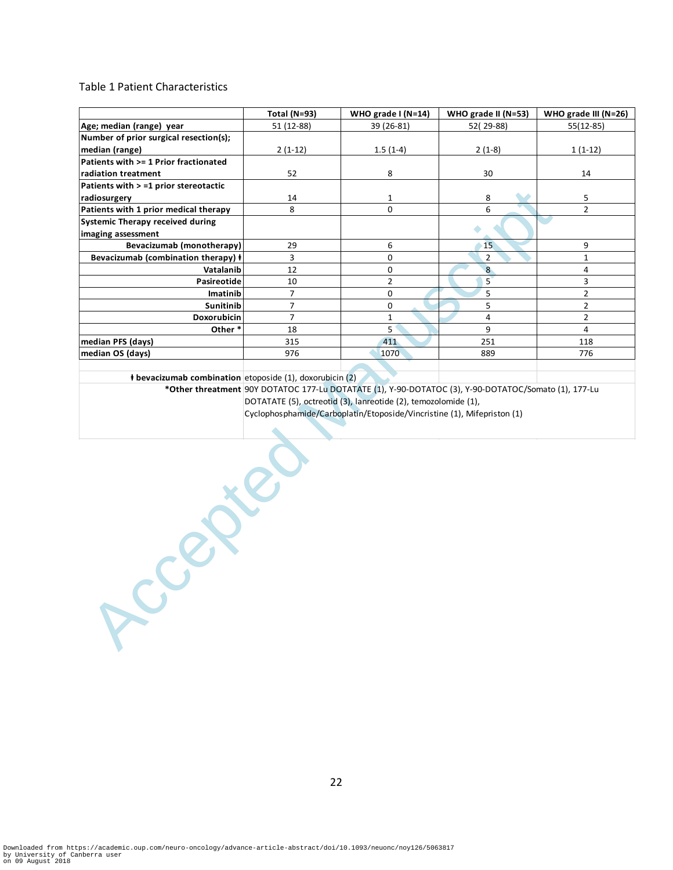#### Table 1 Patient Characteristics

|                                             | Total (N=93) | WHO grade $I(N=14)$ | WHO grade II (N=53) | WHO grade III (N=26) |
|---------------------------------------------|--------------|---------------------|---------------------|----------------------|
| Age; median (range) year                    | 51 (12-88)   | 39 (26-81)          | 52(29-88)           | 55(12-85)            |
| Number of prior surgical resection(s);      |              |                     |                     |                      |
| median (range)                              | $2(1-12)$    | $1.5(1-4)$          | $2(1-8)$            | $1(1-12)$            |
| Patients with >= 1 Prior fractionated       |              |                     |                     |                      |
| radiation treatment                         | 52           | 8                   | 30                  | 14                   |
| Patients with > =1 prior stereotactic       |              |                     |                     |                      |
| radiosurgery                                | 14           | 1                   | 8                   | 5                    |
| Patients with 1 prior medical therapy       | 8            | $\mathbf{0}$        | 6                   | $\overline{2}$       |
| <b>Systemic Therapy received during</b>     |              |                     |                     |                      |
| imaging assessment                          |              |                     |                     |                      |
| Bevacizumab (monotherapy)                   | 29           | 6                   | 15                  | 9                    |
| Bevacizumab (combination therapy) $\dagger$ | 3            | $\mathbf 0$         | 2                   | 1                    |
| Vatalanib                                   | 12           | $\mathbf 0$         | 8                   | 4                    |
| Pasireotide                                 | 10           | $\overline{2}$      | $5^{\circ}$         | 3                    |
| Imatinib                                    | 7            | $\Omega$            | 5                   | 2                    |
| <b>Sunitinib</b>                            | 7            | 0                   | 5                   | 2                    |
| Doxorubicin                                 | 7            | 1                   | 4                   | 2                    |
| Other*                                      | 18           | 5                   | 9                   | 4                    |
| median PFS (days)                           | 315          | 411                 | 251                 | 118                  |
| median OS (days)                            | 976          | 1070                | 889                 | 776                  |
|                                             |              |                     |                     |                      |

**ⱡ bevacizumab combination** etoposide (1), doxorubicin (2)

Accepted Manuscript

**\*Other threatment** 90Y DOTATOC 177-Lu DOTATATE (1), Y-90-DOTATOC (3), Y-90-DOTATOC/Somato (1), 177-Lu DOTATATE (5), octreotid (3), lanreotide (2), temozolomide (1),

Cyclophosphamide/Carboplatin/Etoposide/Vincristine (1), Mifepriston (1)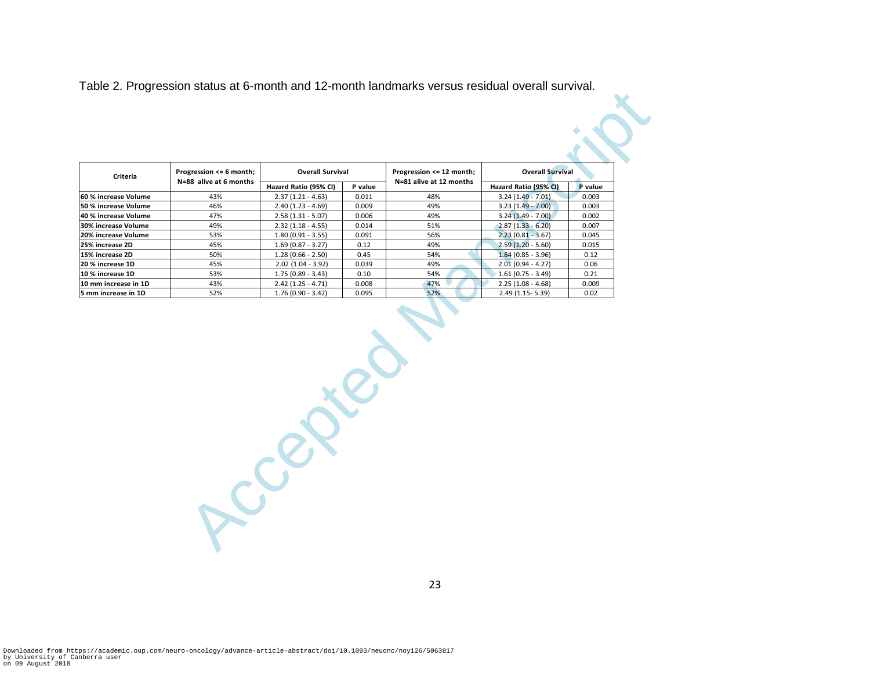| Hazard Ratio (95% CI)<br>Hazard Ratio (95% CI)<br>P value<br>P value<br>43%<br>$2.37(1.21 - 4.63)$<br>$3.24(1.49 - 7.01)$<br>0.011<br>48%<br>0.003<br>46%<br>$2.40(1.23 - 4.69)$<br>0.009<br>49%<br>$3.23(1.49 - 7.00)$<br>0.003<br>47%<br>$2.58(1.31 - 5.07)$<br>0.006<br>49%<br>$3.24(1.49 - 7.00)$<br>0.002<br>49%<br>$2.32(1.18 - 4.55)$<br>0.014<br>51%<br>$2.87(1.33 - 6.20)$<br>0.007<br>$1.80(0.91 - 3.55)$<br>0.091<br>$2.23(0.81 - 3.67)$<br>53%<br>56%<br>0.045<br>$1.69(0.87 - 3.27)$<br>$2.59(1.20 - 5.60)$<br>45%<br>0.12<br>49%<br>50%<br>0.45<br>54%<br>$1.28(0.66 - 2.50)$<br>$1.84(0.85 - 3.96)$<br>0.12<br>45%<br>$2.02$ (1.04 - 3.92)<br>0.039<br>49%<br>$2.01(0.94 - 4.27)$<br>0.06<br>53%<br>0.10<br>54%<br>0.21<br>$1.75(0.89 - 3.43)$<br>$1.61(0.75 - 3.49)$<br>$2.42$ (1.25 - 4.71)<br>$2.25(1.08 - 4.68)$<br>43%<br>0.008<br>47%<br>$1.76(0.90 - 3.42)$<br>52%<br>2.49 (1.15 - 5.39)<br>52%<br>0.095<br>0.02 | 60 % increase Volume<br>50 % increase Volume<br>40 % increase Volume<br>30% increase Volume<br>20% increase Volume<br>25% increase 2D<br>15% increase 2D<br>20 % increase 1D<br>10 % increase 1D<br>10 mm increase in 1D<br>5 mm increase in 1D | Criteria | Progression <= 6 month; | <b>Overall Survival</b> |  | Progression <= 12 month; | <b>Overall Survival</b> |  |  |
|----------------------------------------------------------------------------------------------------------------------------------------------------------------------------------------------------------------------------------------------------------------------------------------------------------------------------------------------------------------------------------------------------------------------------------------------------------------------------------------------------------------------------------------------------------------------------------------------------------------------------------------------------------------------------------------------------------------------------------------------------------------------------------------------------------------------------------------------------------------------------------------------------------------------------------------|-------------------------------------------------------------------------------------------------------------------------------------------------------------------------------------------------------------------------------------------------|----------|-------------------------|-------------------------|--|--------------------------|-------------------------|--|--|
| 0.015<br>0.009                                                                                                                                                                                                                                                                                                                                                                                                                                                                                                                                                                                                                                                                                                                                                                                                                                                                                                                         |                                                                                                                                                                                                                                                 |          | N=88 alive at 6 months  |                         |  | N=81 alive at 12 months  |                         |  |  |
|                                                                                                                                                                                                                                                                                                                                                                                                                                                                                                                                                                                                                                                                                                                                                                                                                                                                                                                                        |                                                                                                                                                                                                                                                 |          |                         |                         |  |                          |                         |  |  |
|                                                                                                                                                                                                                                                                                                                                                                                                                                                                                                                                                                                                                                                                                                                                                                                                                                                                                                                                        |                                                                                                                                                                                                                                                 |          |                         |                         |  |                          |                         |  |  |
|                                                                                                                                                                                                                                                                                                                                                                                                                                                                                                                                                                                                                                                                                                                                                                                                                                                                                                                                        |                                                                                                                                                                                                                                                 |          |                         |                         |  |                          |                         |  |  |
|                                                                                                                                                                                                                                                                                                                                                                                                                                                                                                                                                                                                                                                                                                                                                                                                                                                                                                                                        |                                                                                                                                                                                                                                                 |          |                         |                         |  |                          |                         |  |  |
|                                                                                                                                                                                                                                                                                                                                                                                                                                                                                                                                                                                                                                                                                                                                                                                                                                                                                                                                        |                                                                                                                                                                                                                                                 |          |                         |                         |  |                          |                         |  |  |
|                                                                                                                                                                                                                                                                                                                                                                                                                                                                                                                                                                                                                                                                                                                                                                                                                                                                                                                                        |                                                                                                                                                                                                                                                 |          |                         |                         |  |                          |                         |  |  |
|                                                                                                                                                                                                                                                                                                                                                                                                                                                                                                                                                                                                                                                                                                                                                                                                                                                                                                                                        |                                                                                                                                                                                                                                                 |          |                         |                         |  |                          |                         |  |  |
|                                                                                                                                                                                                                                                                                                                                                                                                                                                                                                                                                                                                                                                                                                                                                                                                                                                                                                                                        |                                                                                                                                                                                                                                                 |          |                         |                         |  |                          |                         |  |  |
|                                                                                                                                                                                                                                                                                                                                                                                                                                                                                                                                                                                                                                                                                                                                                                                                                                                                                                                                        |                                                                                                                                                                                                                                                 |          |                         |                         |  |                          |                         |  |  |
|                                                                                                                                                                                                                                                                                                                                                                                                                                                                                                                                                                                                                                                                                                                                                                                                                                                                                                                                        |                                                                                                                                                                                                                                                 |          |                         |                         |  |                          |                         |  |  |
|                                                                                                                                                                                                                                                                                                                                                                                                                                                                                                                                                                                                                                                                                                                                                                                                                                                                                                                                        |                                                                                                                                                                                                                                                 |          |                         |                         |  |                          |                         |  |  |

Table 2. Progression status at 6-month and 12-month landmarks versus residual overall survival.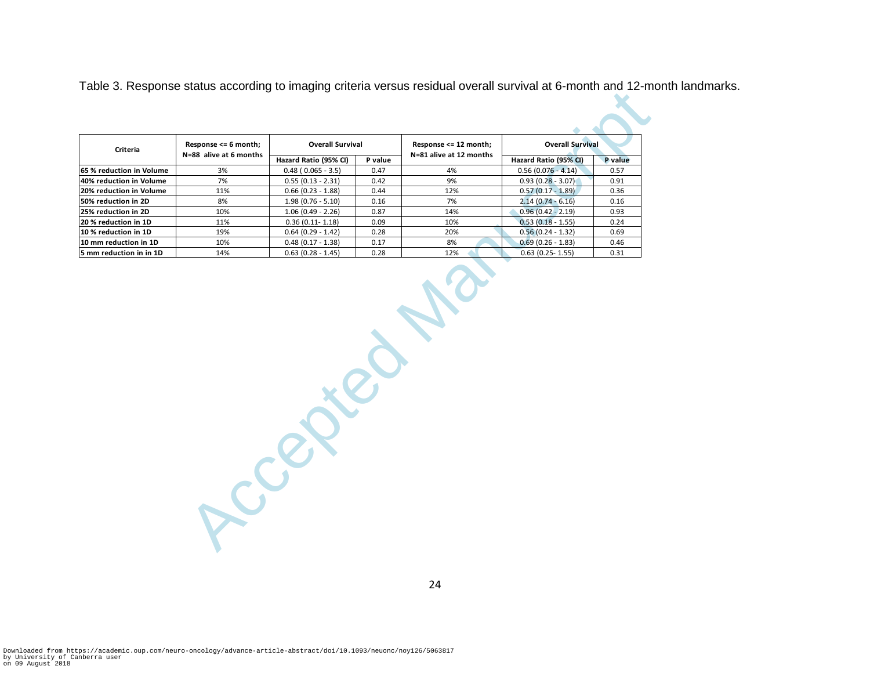Table 3. Response status according to imaging criteria versus residual overall survival at 6-month and 12-month landmarks.

| Response <= 6 month;<br>Criteria | <b>Overall Survival</b> |                          | Response <= 12 month; | <b>Overall Survival</b> |                       |         |
|----------------------------------|-------------------------|--------------------------|-----------------------|-------------------------|-----------------------|---------|
|                                  | N=88 alive at 6 months  | Hazard Ratio (95% CI)    | P value               | N=81 alive at 12 months | Hazard Ratio (95% CI) | P value |
| 65 % reduction in Volume         | 3%                      | $0.48$ ( $0.065 - 3.5$ ) | 0.47                  | 4%                      | $0.56(0.076 - 4.14)$  | 0.57    |
| 40% reduction in Volume          | 7%                      | $0.55(0.13 - 2.31)$      | 0.42                  | 9%                      | $0.93(0.28 - 3.07)$   | 0.91    |
| 20% reduction in Volume          | 11%                     | $0.66$ (0.23 - 1.88)     | 0.44                  | 12%                     | $0.57(0.17 - 1.89)$   | 0.36    |
| 50% reduction in 2D              | 8%                      | $1.98(0.76 - 5.10)$      | 0.16                  | 7%                      | $2.14(0.74 - 6.16)$   | 0.16    |
| 25% reduction in 2D              | 10%                     | $1.06(0.49 - 2.26)$      | 0.87                  | 14%                     | $0.96(0.42 - 2.19)$   | 0.93    |
| 20 % reduction in 1D             | 11%                     | $0.36(0.11 - 1.18)$      | 0.09                  | 10%                     | $0.53(0.18 - 1.55)$   | 0.24    |
| 10 % reduction in 1D             | 19%                     | $0.64$ (0.29 - 1.42)     | 0.28                  | 20%                     | $0.56(0.24 - 1.32)$   | 0.69    |
| 10 mm reduction in 1D            | 10%                     | $0.48$ (0.17 - 1.38)     | 0.17                  | 8%                      | $0.69$ (0.26 - 1.83)  | 0.46    |
| 5 mm reduction in in 1D          | 14%                     | $0.63(0.28 - 1.45)$      | 0.28                  | 12%                     | $0.63$ (0.25-1.55)    | 0.31    |
|                                  |                         |                          |                       |                         |                       |         |
|                                  |                         |                          |                       |                         |                       |         |

24